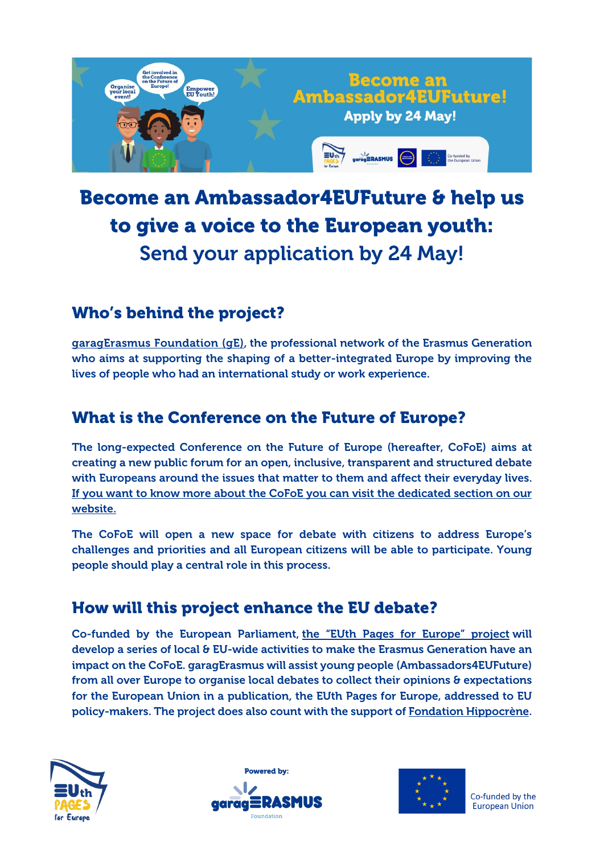

# Become an Ambassador4EUFuture & help us to give a voice to the European youth: Send your application by 24 May!

# Who's behind the project?

[garagErasmus](http://garagerasmus.org/about-us-garagerasmus/) Foundation (gE), the professional network of the Erasmus Generation who aims at supporting the shaping of a better-integrated Europe by improving the lives of people who had an international study or work experience.

## What is the Conference on the Future of Europe?

The long-expected Conference on the Future of Europe (hereafter, CoFoE) aims at creating a new public forum for an open, inclusive, transparent and structured debate with Europeans around the issues that matter to them and affect their everyday lives. If you want to know more about the CoFoE you can visit the [dedicated](http://garagerasmus.org/conference-on-the-future-of-europe/) section on our [website.](http://garagerasmus.org/conference-on-the-future-of-europe/)

The CoFoE will open a new space for debate with citizens to address Europe's challenges and priorities and all European citizens will be able to participate. Young people should play a central role in this process.

## How will this project enhance the EU debate?

Co-funded by the European Parliament, the "EUth Pages for [Europe"](http://garagerasmus.org/project/euth-pages-for-europe/) project will develop a series of local & EU-wide activities to make the Erasmus Generation have an impact on the CoFoE. garagErasmus will assist young people (Ambassadors4EUFuture) from all over Europe to organise local debates to collect their opinions & expectations for the European Union in a publication, the EUth Pages for Europe, addressed to EU policy-makers. The project does also count with the support of [Fondation Hippocrène.](http://fondationhippocrene.eu/en/)







Co-funded by the **European Union**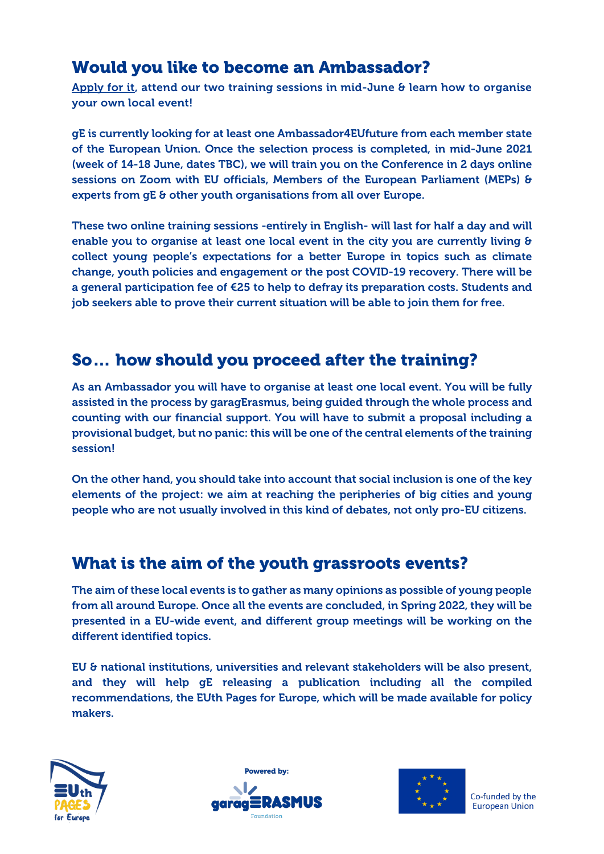### Would you like to become an Ambassador?

[Apply for it,](https://forms.gle/Ew5NYUqqeGuHeGgC8) attend our two training sessions in mid-June & learn how to organise your own local event!

gE is currently looking for at least one Ambassador4EUfuture from each member state of the European Union. Once the selection process is completed, in mid-June 2021 (week of 14-18 June, dates TBC), we will train you on the Conference in 2 days online sessions on Zoom with EU officials, Members of the European Parliament (MEPs) & experts from gE & other youth organisations from all over Europe.

These two online training sessions -entirely in English- will last for half a day and will enable you to organise at least one local event in the city you are currently living & collect young people's expectations for a better Europe in topics such as climate change, youth policies and engagement or the post COVID-19 recovery. There will be a general participation fee of €25 to help to defray its preparation costs. Students and job seekers able to prove their current situation will be able to join them for free.

#### So… how should you proceed after the training?

As an Ambassador you will have to organise at least one local event. You will be fully assisted in the process by garagErasmus, being guided through the whole process and counting with our financial support. You will have to submit a proposal including a provisional budget, but no panic: this will be one of the central elements of the training session!

On the other hand, you should take into account that social inclusion is one of the key elements of the project: we aim at reaching the peripheries of big cities and young people who are not usually involved in this kind of debates, not only pro-EU citizens.

#### What is the aim of the youth grassroots events?

The aim of these local events is to gather as many opinions as possible of young people from all around Europe. Once all the events are concluded, in Spring 2022, they will be presented in a EU-wide event, and different group meetings will be working on the different identified topics.

EU & national institutions, universities and relevant stakeholders will be also present, and they will help gE releasing a publication including all the compiled recommendations, the EUth Pages for Europe, which will be made available for policy makers.







Co-funded by the **European Union**